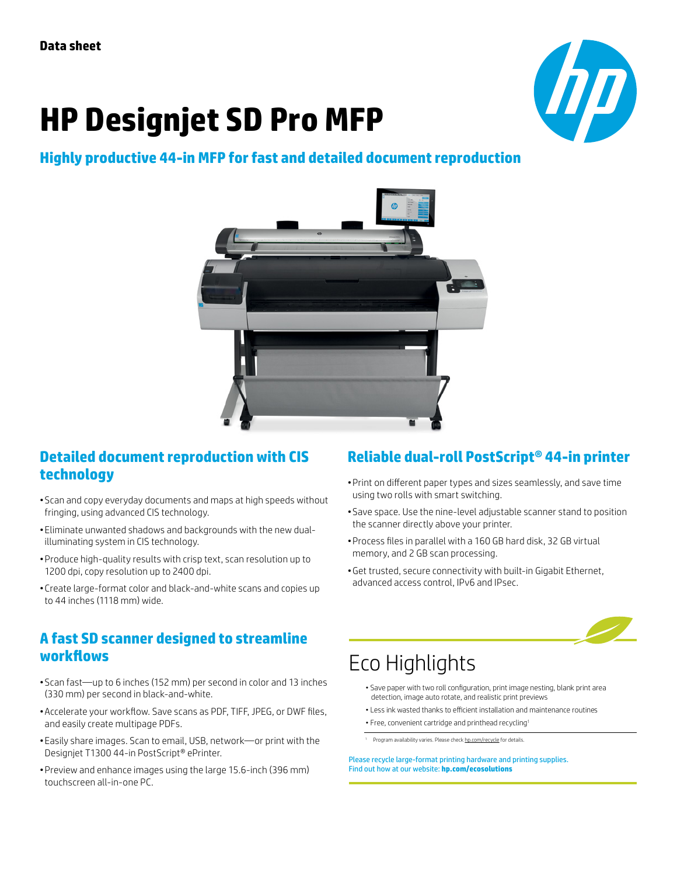# **HP Designjet SD Pro MFP**



#### **Highly productive 44-in MFP for fast and detailed document reproduction**



#### **Detailed document reproduction with CIS technology**

- Scan and copy everyday documents and maps at high speeds without fringing, using advanced CIS technology.
- Eliminate unwanted shadows and backgrounds with the new dualilluminating system in CIS technology.
- • Produce high-quality results with crisp text, scan resolution up to 1200 dpi, copy resolution up to 2400 dpi.
- Create large-format color and black-and-white scans and copies up to 44 inches (1118 mm) wide.

#### **A fast SD scanner designed to streamline workflows**

- Scan fast—up to 6 inches (152 mm) per second in color and 13 inches (330 mm) per second in black-and-white.
- • Accelerate your workflow. Save scans as PDF, TIFF, JPEG, or DWF files, and easily create multipage PDFs.
- Easily share images. Scan to email, USB, network—or print with the Designjet T1300 44-in PostScript® ePrinter.
- Preview and enhance images using the large 15.6-inch (396 mm) touchscreen all-in-one PC.

### **Reliable dual-roll PostScript® 44-in printer**

- • Print on different paper types and sizes seamlessly, and save time using two rolls with smart switching.
- Save space. Use the nine-level adjustable scanner stand to position the scanner directly above your printer.
- • Process files in parallel with a 160 GB hard disk, 32 GB virtual memory, and 2 GB scan processing.
- • Get trusted, secure connectivity with built-in Gigabit Ethernet, advanced access control, IPv6 and IPsec.



## Eco Highlights

- Save paper with two roll configuration, print image nesting, blank print area detection, image auto rotate, and realistic print previews
- Less ink wasted thanks to efficient installation and maintenance routines
- Free, convenient cartridge and printhead recycling1
- <sup>1</sup> Program availability varies. Please che[ck hp.com/recycle f](www.hp.com/recycle)or details.

Please recycle large-format printing hardware and printing supplies. Find out how at our website: **[hp.com/ecosolutions](http://hp.com/ecosolutions)**